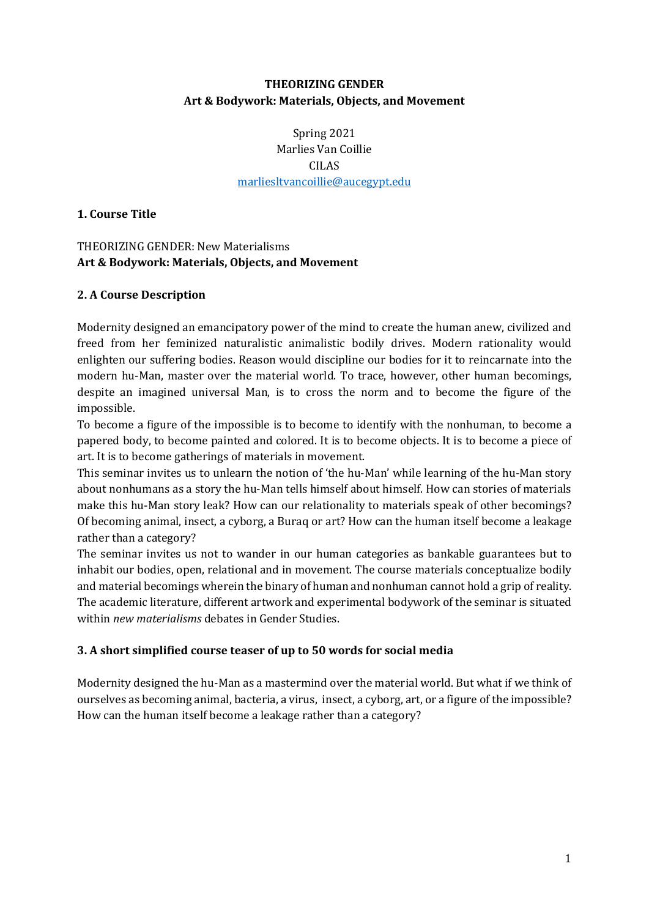## **THEORIZING GENDER Art & Bodywork: Materials, Objects, and Movement**

Spring 2021 Marlies Van Coillie CILAS [marliesltvancoillie@aucegypt.edu](mailto:marliesltvancoillie@aucegypt.edu)

#### **1. Course Title**

#### THEORIZING GENDER: New Materialisms **Art & Bodywork: Materials, Objects, and Movement**

#### **2. A Course Description**

Modernity designed an emancipatory power of the mind to create the human anew, civilized and freed from her feminized naturalistic animalistic bodily drives. Modern rationality would enlighten our suffering bodies. Reason would discipline our bodies for it to reincarnate into the modern hu-Man, master over the material world. To trace, however, other human becomings, despite an imagined universal Man, is to cross the norm and to become the figure of the impossible.

To become a figure of the impossible is to become to identify with the nonhuman, to become a papered body, to become painted and colored. It is to become objects. It is to become a piece of art. It is to become gatherings of materials in movement.

This seminar invites us to unlearn the notion of 'the hu-Man' while learning of the hu-Man story about nonhumans as a story the hu-Man tells himself about himself. How can stories of materials make this hu-Man story leak? How can our relationality to materials speak of other becomings? Of becoming animal, insect, a cyborg, a Buraq or art? How can the human itself become a leakage rather than a category?

The seminar invites us not to wander in our human categories as bankable guarantees but to inhabit our bodies, open, relational and in movement. The course materials conceptualize bodily and material becomings wherein the binary of human and nonhuman cannot hold a grip of reality. The academic literature, different artwork and experimental bodywork of the seminar is situated within *new materialisms* debates in Gender Studies.

#### **3. A short simplified course teaser of up to 50 words for social media**

Modernity designed the hu-Man as a mastermind over the material world. But what if we think of ourselves as becoming animal, bacteria, a virus, insect, a cyborg, art, or a figure of the impossible? How can the human itself become a leakage rather than a category?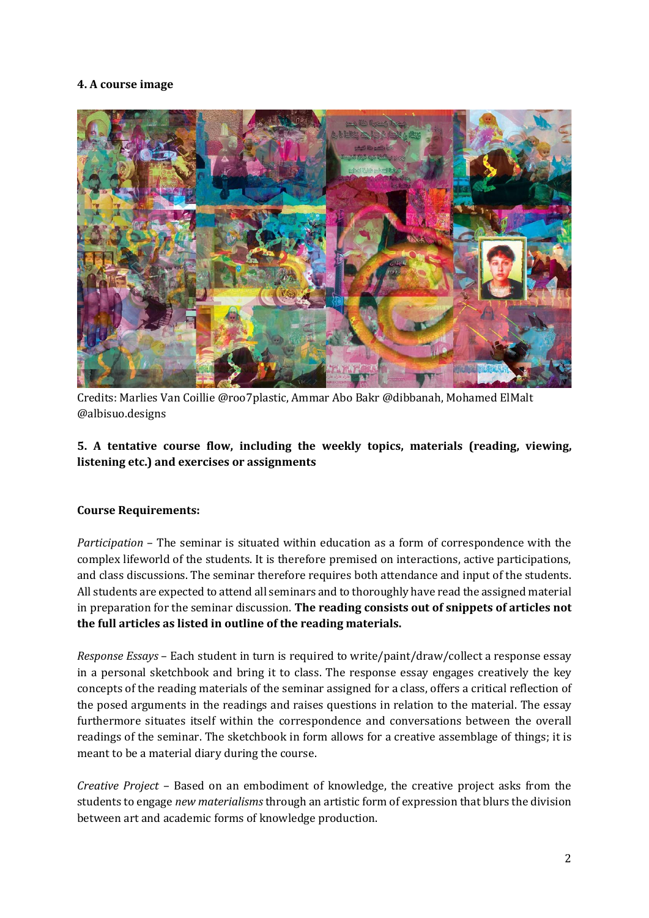## **4. A course image**



Credits: Marlies Van Coillie @roo7plastic, Ammar Abo Bakr @dibbanah, Mohamed ElMalt @albisuo.designs

#### **5. A tentative course flow, including the weekly topics, materials (reading, viewing, listening etc.) and exercises or assignments**

#### **Course Requirements:**

*Participation* – The seminar is situated within education as a form of correspondence with the complex lifeworld of the students. It is therefore premised on interactions, active participations, and class discussions. The seminar therefore requires both attendance and input of the students. All students are expected to attend all seminars and to thoroughly have read the assigned material in preparation for the seminar discussion. **The reading consists out of snippets of articles not the full articles as listed in outline of the reading materials.** 

*Response Essays* – Each student in turn is required to write/paint/draw/collect a response essay in a personal sketchbook and bring it to class. The response essay engages creatively the key concepts of the reading materials of the seminar assigned for a class, offers a critical reflection of the posed arguments in the readings and raises questions in relation to the material. The essay furthermore situates itself within the correspondence and conversations between the overall readings of the seminar. The sketchbook in form allows for a creative assemblage of things; it is meant to be a material diary during the course.

*Creative Project* – Based on an embodiment of knowledge, the creative project asks from the students to engage *new materialisms* through an artistic form of expression that blurs the division between art and academic forms of knowledge production.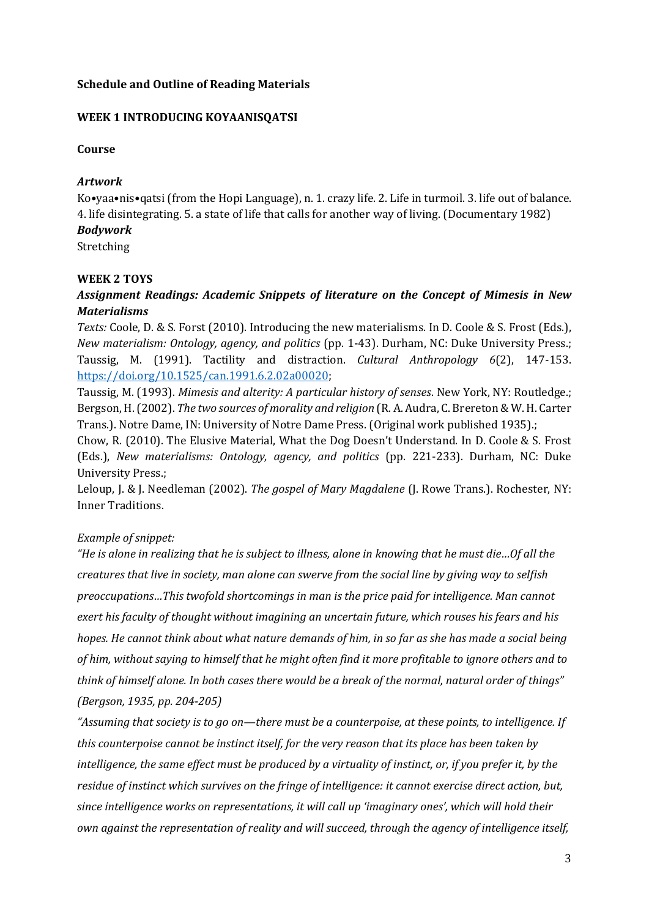#### **Schedule and Outline of Reading Materials**

#### **WEEK 1 INTRODUCING KOYAANISQATSI**

#### **Course**

#### *Artwork*

Ko•yaa•nis•qatsi (from the Hopi Language), n. 1. crazy life. 2. Life in turmoil. 3. life out of balance. 4. life disintegrating. 5. a state of life that calls for another way of living. (Documentary 1982) *Bodywork* Stretching

#### **WEEK 2 TOYS**

## *Assignment Readings: Academic Snippets of literature on the Concept of Mimesis in New Materialisms*

*Texts:* Coole, D. & S. Forst (2010). Introducing the new materialisms. In D. Coole & S. Frost (Eds.), *New materialism: Ontology, agency, and politics* (pp. 1-43). Durham, NC: Duke University Press.; Taussig, M. (1991). Tactility and distraction. *Cultural Anthropology 6*(2), 147-153. [https://doi.org/10.1525/can.1991.6.2.02a00020;](https://doi.org/10.1525/can.1991.6.2.02a00020)

Taussig, M. (1993). *Mimesis and alterity: A particular history of senses*. New York, NY: Routledge.; Bergson, H. (2002). *The two sources of morality and religion* (R. A. Audra, C. Brereton & W. H. Carter Trans.). Notre Dame, IN: University of Notre Dame Press. (Original work published 1935).;

Chow, R. (2010). The Elusive Material, What the Dog Doesn't Understand. In D. Coole & S. Frost (Eds.), *New materialisms: Ontology, agency, and politics* (pp. 221-233). Durham, NC: Duke University Press.;

Leloup, J. & J. Needleman (2002). *The gospel of Mary Magdalene* (J. Rowe Trans.). Rochester, NY: Inner Traditions.

#### *Example of snippet:*

*"He is alone in realizing that he is subject to illness, alone in knowing that he must die…Of all the creatures that live in society, man alone can swerve from the social line by giving way to selfish preoccupations…This twofold shortcomings in man is the price paid for intelligence. Man cannot exert his faculty of thought without imagining an uncertain future, which rouses his fears and his hopes. He cannot think about what nature demands of him, in so far as she has made a social being of him, without saying to himself that he might often find it more profitable to ignore others and to think of himself alone. In both cases there would be a break of the normal, natural order of things" (Bergson, 1935, pp. 204-205)*

*"Assuming that society is to go on—there must be a counterpoise, at these points, to intelligence. If this counterpoise cannot be instinct itself, for the very reason that its place has been taken by intelligence, the same effect must be produced by a virtuality of instinct, or, if you prefer it, by the residue of instinct which survives on the fringe of intelligence: it cannot exercise direct action, but, since intelligence works on representations, it will call up 'imaginary ones', which will hold their own against the representation of reality and will succeed, through the agency of intelligence itself,*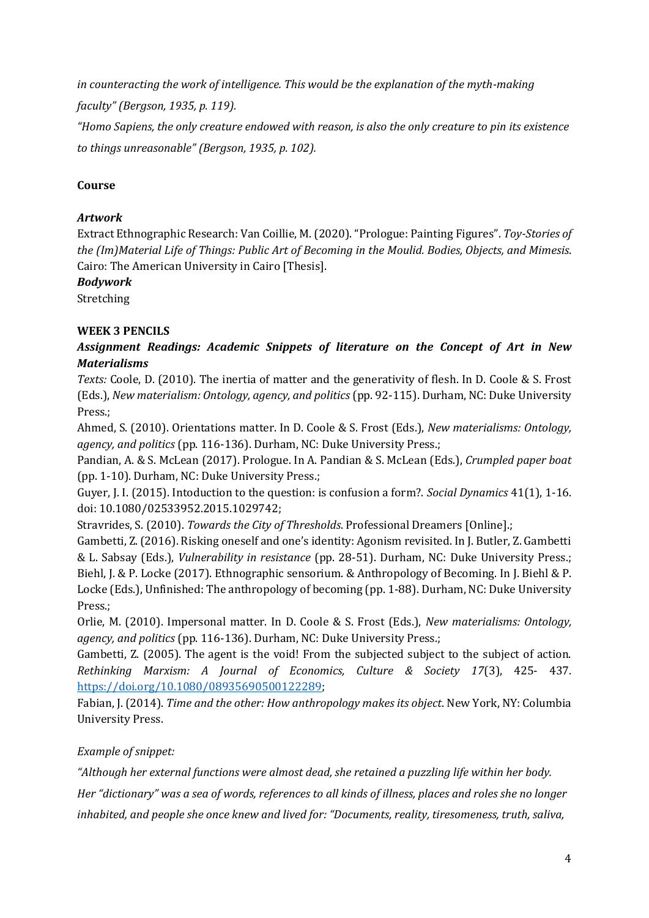*in counteracting the work of intelligence. This would be the explanation of the myth-making* 

*faculty" (Bergson, 1935, p. 119).*

*"Homo Sapiens, the only creature endowed with reason, is also the only creature to pin its existence to things unreasonable" (Bergson, 1935, p. 102).* 

# **Course**

# *Artwork*

Extract Ethnographic Research: Van Coillie, M. (2020). "Prologue: Painting Figures". *Toy-Stories of the (Im)Material Life of Things: Public Art of Becoming in the Moulid. Bodies, Objects, and Mimesis*. Cairo: The American University in Cairo [Thesis].

## *Bodywork*

Stretching

# **WEEK 3 PENCILS**

*Assignment Readings: Academic Snippets of literature on the Concept of Art in New Materialisms* 

*Texts:* Coole, D. (2010). The inertia of matter and the generativity of flesh. In D. Coole & S. Frost (Eds.), *New materialism: Ontology, agency, and politics* (pp. 92-115). Durham, NC: Duke University Press.;

Ahmed, S. (2010). Orientations matter. In D. Coole & S. Frost (Eds.), *New materialisms: Ontology, agency, and politics* (pp. 116-136). Durham, NC: Duke University Press.;

Pandian, A. & S. McLean (2017). Prologue. In A. Pandian & S. McLean (Eds.), *Crumpled paper boat* (pp. 1-10). Durham, NC: Duke University Press.;

Guyer, J. I. (2015). Intoduction to the question: is confusion a form?. *Social Dynamics* 41(1), 1-16. doi: 10.1080/02533952.2015.1029742;

Stravrides, S. (2010). *Towards the City of Thresholds*. Professional Dreamers [Online].;

Gambetti, Z. (2016). Risking oneself and one's identity: Agonism revisited. In J. Butler, Z. Gambetti & L. Sabsay (Eds.), *Vulnerability in resistance* (pp. 28-51). Durham, NC: Duke University Press.; Biehl, J. & P. Locke (2017). Ethnographic sensorium. & Anthropology of Becoming. In J. Biehl & P. Locke (Eds.), Unfinished: The anthropology of becoming (pp. 1-88). Durham, NC: Duke University Press.;

Orlie, M. (2010). Impersonal matter. In D. Coole & S. Frost (Eds.), *New materialisms: Ontology, agency, and politics* (pp. 116-136). Durham, NC: Duke University Press.;

Gambetti, Z. (2005). The agent is the void! From the subjected subject to the subject of action. *Rethinking Marxism: A Journal of Economics, Culture & Society 17*(3), 425- 437. [https://doi.org/10.1080/08935690500122289;](https://doi.org/10.1080/08935690500122289)

Fabian, J. (2014). *Time and the other: How anthropology makes its object*. New York, NY: Columbia University Press.

# *Example of snippet:*

*"Although her external functions were almost dead, she retained a puzzling life within her body.* 

*Her "dictionary" was a sea of words, references to all kinds of illness, places and roles she no longer* 

*inhabited, and people she once knew and lived for: "Documents, reality, tiresomeness, truth, saliva,*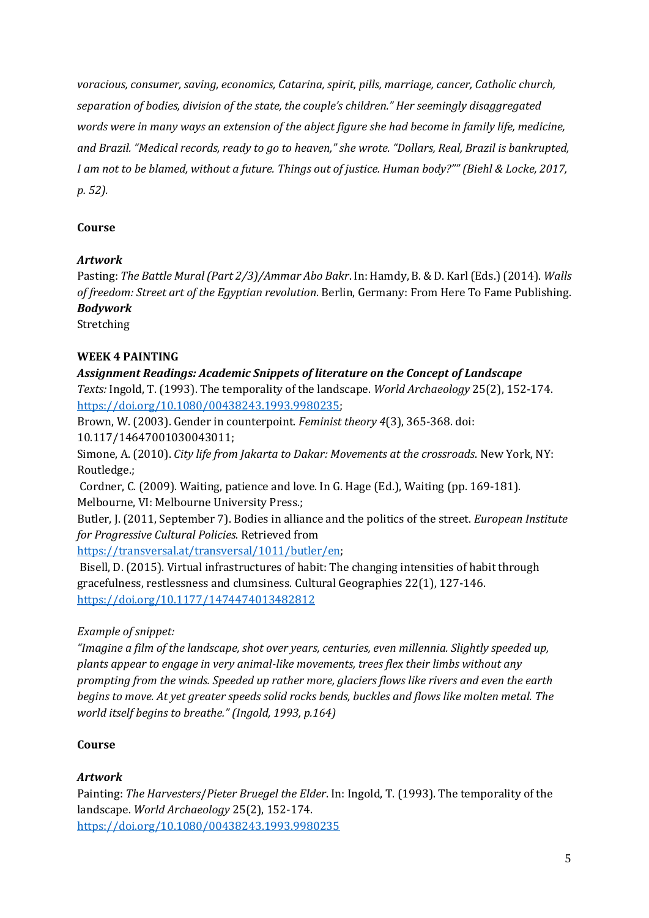*voracious, consumer, saving, economics, Catarina, spirit, pills, marriage, cancer, Catholic church, separation of bodies, division of the state, the couple's children." Her seemingly disaggregated words were in many ways an extension of the abject figure she had become in family life, medicine, and Brazil. "Medical records, ready to go to heaven," she wrote. "Dollars, Real, Brazil is bankrupted, I am not to be blamed, without a future. Things out of justice. Human body?"" (Biehl & Locke, 2017, p. 52).* 

#### **Course**

#### *Artwork*

Pasting: *The Battle Mural (Part 2/3)/Ammar Abo Bakr*. In: Hamdy, B. & D. Karl (Eds.) (2014). *Walls of freedom: Street art of the Egyptian revolution*. Berlin, Germany: From Here To Fame Publishing. *Bodywork* 

Stretching

#### **WEEK 4 PAINTING**

*Assignment Readings: Academic Snippets of literature on the Concept of Landscape Texts:* Ingold, T. (1993). The temporality of the landscape. *World Archaeology* 25(2), 152-174. [https://doi.org/10.1080/00438243.1993.9980235;](https://doi.org/10.1080/00438243.1993.9980235)

Brown, W. (2003). Gender in counterpoint. *Feminist theory 4*(3), 365-368. doi: 10.117/14647001030043011;

Simone, A. (2010). *City life from Jakarta to Dakar: Movements at the crossroads*. New York, NY: Routledge.;

Cordner, C. (2009). Waiting, patience and love. In G. Hage (Ed.), Waiting (pp. 169-181). Melbourne, VI: Melbourne University Press.;

Butler, J. (2011, September 7). Bodies in alliance and the politics of the street. *European Institute for Progressive Cultural Policies*. Retrieved from

[https://transversal.at/transversal/1011/butler/en;](https://transversal.at/transversal/1011/butler/en)

Bisell, D. (2015). Virtual infrastructures of habit: The changing intensities of habit through gracefulness, restlessness and clumsiness. Cultural Geographies 22(1), 127-146. <https://doi.org/10.1177/1474474013482812>

## *Example of snippet:*

*"Imagine a film of the landscape, shot over years, centuries, even millennia. Slightly speeded up, plants appear to engage in very animal-like movements, trees flex their limbs without any prompting from the winds. Speeded up rather more, glaciers flows like rivers and even the earth begins to move. At yet greater speeds solid rocks bends, buckles and flows like molten metal. The world itself begins to breathe." (Ingold, 1993, p.164)*

#### **Course**

## *Artwork*

Painting: *The Harvesters*/*Pieter Bruegel the Elder*. In: Ingold, T. (1993). The temporality of the landscape. *World Archaeology* 25(2), 152-174. <https://doi.org/10.1080/00438243.1993.9980235>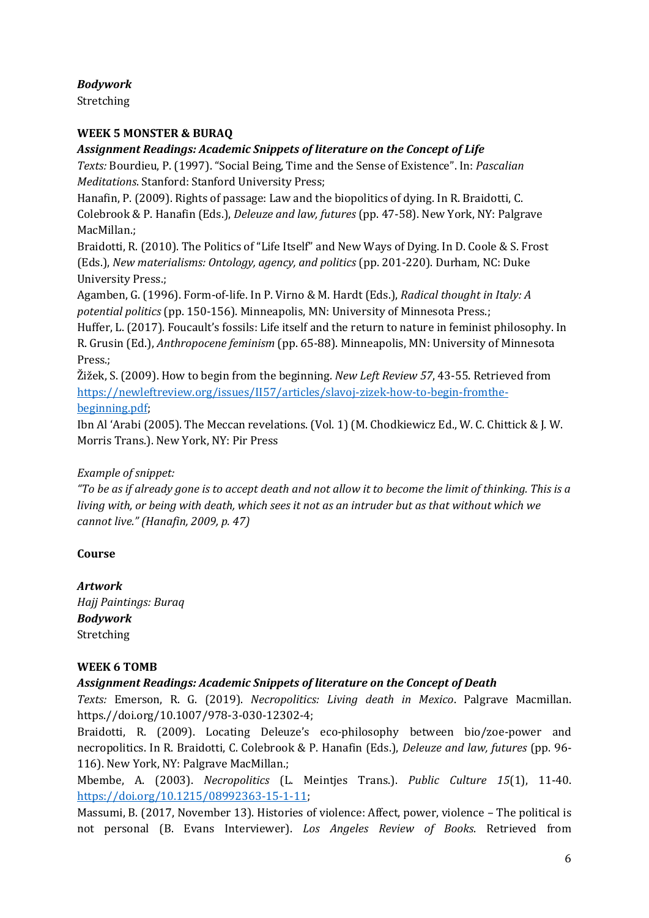*Bodywork* 

Stretching

## **WEEK 5 MONSTER & BURAQ**

## *Assignment Readings: Academic Snippets of literature on the Concept of Life*

*Texts:* Bourdieu, P. (1997). "Social Being, Time and the Sense of Existence". In: *Pascalian Meditations*. Stanford: Stanford University Press;

Hanafin, P. (2009). Rights of passage: Law and the biopolitics of dying. In R. Braidotti, C. Colebrook & P. Hanafin (Eds.), *Deleuze and law, futures* (pp. 47-58). New York, NY: Palgrave MacMillan.;

Braidotti, R. (2010). The Politics of "Life Itself" and New Ways of Dying. In D. Coole & S. Frost (Eds.), *New materialisms: Ontology, agency, and politics* (pp. 201-220). Durham, NC: Duke University Press.;

Agamben, G. (1996). Form-of-life. In P. Virno & M. Hardt (Eds.), *Radical thought in Italy: A potential politics* (pp. 150-156). Minneapolis, MN: University of Minnesota Press.;

Huffer, L. (2017). Foucault's fossils: Life itself and the return to nature in feminist philosophy. In R. Grusin (Ed.), *Anthropocene feminism* (pp. 65-88). Minneapolis, MN: University of Minnesota Press.;

Žižek, S. (2009). How to begin from the beginning. *New Left Review 57*, 43-55. Retrieved from [https://newleftreview.org/issues/II57/articles/slavoj-zizek-how-to-begin-fromthe](https://newleftreview.org/issues/II57/articles/slavoj-zizek-how-to-begin-fromthe-beginning.pdf)[beginning.pdf;](https://newleftreview.org/issues/II57/articles/slavoj-zizek-how-to-begin-fromthe-beginning.pdf)

Ibn Al 'Arabi (2005). The Meccan revelations. (Vol. 1) (M. Chodkiewicz Ed., W. C. Chittick & J. W. Morris Trans.). New York, NY: Pir Press

## *Example of snippet:*

*"To be as if already gone is to accept death and not allow it to become the limit of thinking. This is a living with, or being with death, which sees it not as an intruder but as that without which we cannot live." (Hanafin, 2009, p. 47)*

## **Course**

*Artwork Hajj Paintings: Buraq Bodywork*  Stretching

## **WEEK 6 TOMB**

*Assignment Readings: Academic Snippets of literature on the Concept of Death* 

*Texts:* Emerson, R. G. (2019). *Necropolitics: Living death in Mexico*. Palgrave Macmillan. https.//doi.org/10.1007/978-3-030-12302-4;

Braidotti, R. (2009). Locating Deleuze's eco-philosophy between bio/zoe-power and necropolitics. In R. Braidotti, C. Colebrook & P. Hanafin (Eds.), *Deleuze and law, futures* (pp. 96- 116). New York, NY: Palgrave MacMillan.;

Mbembe, A. (2003). *Necropolitics* (L. Meintjes Trans.). *Public Culture 15*(1), 11-40. [https://doi.org/10.1215/08992363-15-1-11;](https://doi.org/10.1215/08992363-15-1-11)

Massumi, B. (2017, November 13). Histories of violence: Affect, power, violence – The political is not personal (B. Evans Interviewer). *Los Angeles Review of Books*. Retrieved from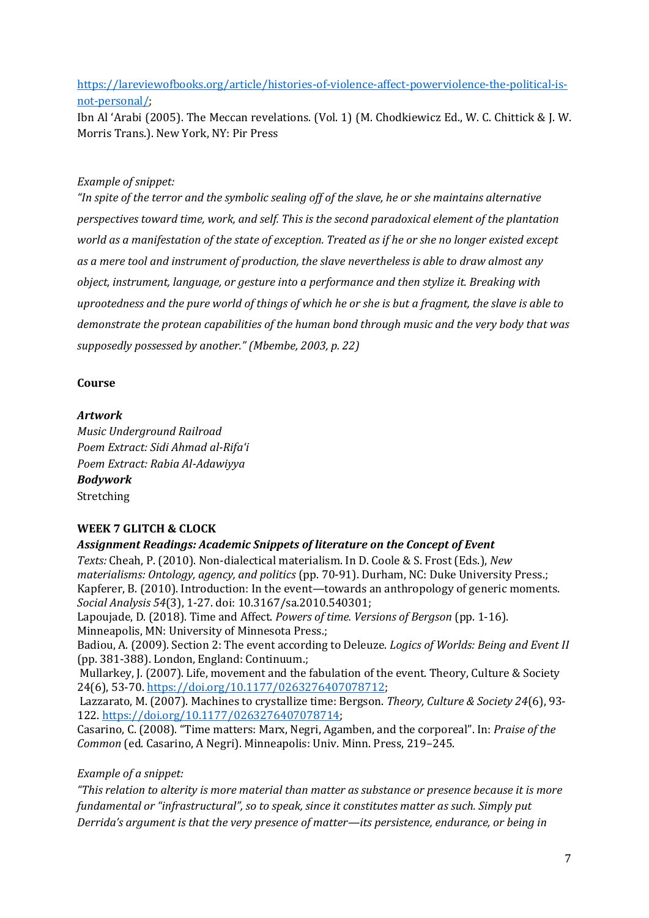[https://lareviewofbooks.org/article/histories-of-violence-affect-powerviolence-the-political-is](https://lareviewofbooks.org/article/histories-of-violence-affect-powerviolence-the-political-is-not-personal/)[not-personal/;](https://lareviewofbooks.org/article/histories-of-violence-affect-powerviolence-the-political-is-not-personal/)

Ibn Al 'Arabi (2005). The Meccan revelations. (Vol. 1) (M. Chodkiewicz Ed., W. C. Chittick & J. W. Morris Trans.). New York, NY: Pir Press

#### *Example of snippet:*

*"In spite of the terror and the symbolic sealing off of the slave, he or she maintains alternative perspectives toward time, work, and self. This is the second paradoxical element of the plantation world as a manifestation of the state of exception. Treated as if he or she no longer existed except as a mere tool and instrument of production, the slave nevertheless is able to draw almost any object, instrument, language, or gesture into a performance and then stylize it. Breaking with uprootedness and the pure world of things of which he or she is but a fragment, the slave is able to demonstrate the protean capabilities of the human bond through music and the very body that was supposedly possessed by another." (Mbembe, 2003, p. 22)* 

#### **Course**

#### *Artwork*

*Music Underground Railroad Poem Extract: Sidi Ahmad al-Rifa'i Poem Extract: Rabia Al-Adawiyya Bodywork*  Stretching

#### **WEEK 7 GLITCH & CLOCK**

#### *Assignment Readings: Academic Snippets of literature on the Concept of Event*

*Texts:* Cheah, P. (2010). Non-dialectical materialism. In D. Coole & S. Frost (Eds.), *New materialisms: Ontology, agency, and politics* (pp. 70-91). Durham, NC: Duke University Press.; Kapferer, B. (2010). Introduction: In the event—towards an anthropology of generic moments. *Social Analysis 54*(3), 1-27. doi: 10.3167/sa.2010.540301;

Lapoujade, D. (2018). Time and Affect. *Powers of time. Versions of Bergson* (pp. 1-16). Minneapolis, MN: University of Minnesota Press.;

Badiou, A. (2009). Section 2: The event according to Deleuze. *Logics of Worlds: Being and Event II* (pp. 381-388). London, England: Continuum.;

Mullarkey, J. (2007). Life, movement and the fabulation of the event. Theory, Culture & Society 24(6), 53-70. [https://doi.org/10.1177/0263276407078712;](https://doi.org/10.1177/0263276407078712)

Lazzarato, M. (2007). Machines to crystallize time: Bergson. *Theory, Culture & Society 24*(6), 93- 122. [https://doi.org/10.1177/0263276407078714;](https://doi.org/10.1177/0263276407078714)

Casarino, C. (2008). "Time matters: Marx, Negri, Agamben, and the corporeal". In: *Praise of the Common* (ed. Casarino, A Negri). Minneapolis: Univ. Minn. Press, 219–245.

*Example of a snippet:* 

*"This relation to alterity is more material than matter as substance or presence because it is more fundamental or "infrastructural", so to speak, since it constitutes matter as such. Simply put Derrida's argument is that the very presence of matter—its persistence, endurance, or being in*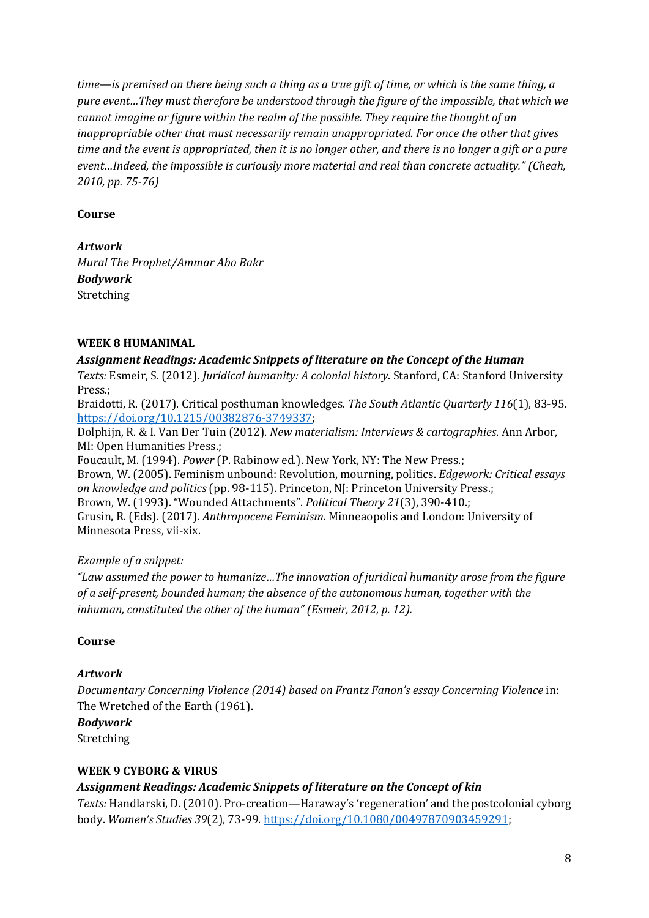*time—is premised on there being such a thing as a true gift of time, or which is the same thing, a pure event…They must therefore be understood through the figure of the impossible, that which we cannot imagine or figure within the realm of the possible. They require the thought of an inappropriable other that must necessarily remain unappropriated. For once the other that gives time and the event is appropriated, then it is no longer other, and there is no longer a gift or a pure event…Indeed, the impossible is curiously more material and real than concrete actuality." (Cheah, 2010, pp. 75-76)*

#### **Course**

*Artwork* 

*Mural The Prophet/Ammar Abo Bakr Bodywork*  Stretching

#### **WEEK 8 HUMANIMAL**

#### *Assignment Readings: Academic Snippets of literature on the Concept of the Human*

*Texts:* Esmeir, S. (2012). *Juridical humanity: A colonial history*. Stanford, CA: Stanford University Press.;

Braidotti, R. (2017). Critical posthuman knowledges. *The South Atlantic Quarterly 116*(1), 83-95. [https://doi.org/10.1215/00382876-3749337;](https://doi.org/10.1215/00382876-3749337)

Dolphijn, R. & I. Van Der Tuin (2012). *New materialism: Interviews & cartographies*. Ann Arbor, MI: Open Humanities Press.;

Foucault, M. (1994). *Power* (P. Rabinow ed.). New York, NY: The New Press.; Brown, W. (2005). Feminism unbound: Revolution, mourning, politics. *Edgework: Critical essays on knowledge and politics* (pp. 98-115). Princeton, NJ: Princeton University Press.; Brown, W. (1993). "Wounded Attachments". *Political Theory 21*(3), 390-410.; Grusin, R. (Eds). (2017). *Anthropocene Feminism*. Minneaopolis and London: University of Minnesota Press, vii-xix.

## *Example of a snippet:*

*"Law assumed the power to humanize…The innovation of juridical humanity arose from the figure of a self-present, bounded human; the absence of the autonomous human, together with the inhuman, constituted the other of the human" (Esmeir, 2012, p. 12).*

## **Course**

## *Artwork*

*Documentary Concerning Violence (2014) based on Frantz Fanon's essay Concerning Violence* in: The Wretched of the Earth (1961).

## *Bodywork*

Stretching

#### **WEEK 9 CYBORG & VIRUS**

## *Assignment Readings: Academic Snippets of literature on the Concept of kin*

*Texts:* Handlarski, D. (2010). Pro-creation—Haraway's 'regeneration' and the postcolonial cyborg body. *Women's Studies 39*(2), 73-99. [https://doi.org/10.1080/00497870903459291;](https://doi.org/10.1080/00497870903459291)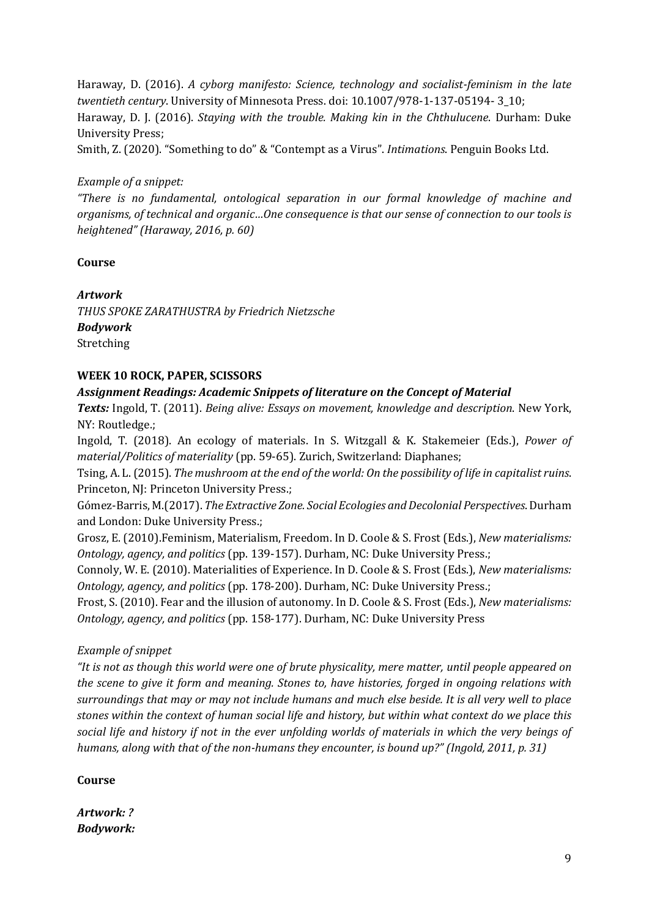Haraway, D. (2016). *A cyborg manifesto: Science, technology and socialist-feminism in the late twentieth century*. University of Minnesota Press. doi: 10.1007/978-1-137-05194- 3\_10; Haraway, D. J. (2016). *Staying with the trouble. Making kin in the Chthulucene*. Durham: Duke University Press;

Smith, Z. (2020). "Something to do" & "Contempt as a Virus". *Intimations*. Penguin Books Ltd.

#### *Example of a snippet:*

*"There is no fundamental, ontological separation in our formal knowledge of machine and organisms, of technical and organic…One consequence is that our sense of connection to our tools is heightened" (Haraway, 2016, p. 60)*

#### **Course**

*Artwork THUS SPOKE ZARATHUSTRA by Friedrich Nietzsche Bodywork* Stretching

#### **WEEK 10 ROCK, PAPER, SCISSORS**

#### *Assignment Readings: Academic Snippets of literature on the Concept of Material*

*Texts:* Ingold, T. (2011). *Being alive: Essays on movement, knowledge and description*. New York, NY: Routledge.;

Ingold, T. (2018). An ecology of materials. In S. Witzgall & K. Stakemeier (Eds.), *Power of material/Politics of materiality* (pp. 59-65). Zurich, Switzerland: Diaphanes;

Tsing, A. L. (2015). *The mushroom at the end of the world: On the possibility of life in capitalist ruins*. Princeton, NJ: Princeton University Press.;

Gómez-Barris, M.(2017). *The Extractive Zone. Social Ecologies and Decolonial Perspectives*. Durham and London: Duke University Press.;

Grosz, E. (2010).Feminism, Materialism, Freedom. In D. Coole & S. Frost (Eds.), *New materialisms: Ontology, agency, and politics* (pp. 139-157). Durham, NC: Duke University Press.;

Connoly, W. E. (2010). Materialities of Experience. In D. Coole & S. Frost (Eds.), *New materialisms: Ontology, agency, and politics* (pp. 178-200). Durham, NC: Duke University Press.;

Frost, S. (2010). Fear and the illusion of autonomy. In D. Coole & S. Frost (Eds.), *New materialisms: Ontology, agency, and politics* (pp. 158-177). Durham, NC: Duke University Press

#### *Example of snippet*

*"It is not as though this world were one of brute physicality, mere matter, until people appeared on the scene to give it form and meaning. Stones to, have histories, forged in ongoing relations with surroundings that may or may not include humans and much else beside. It is all very well to place stones within the context of human social life and history, but within what context do we place this social life and history if not in the ever unfolding worlds of materials in which the very beings of humans, along with that of the non-humans they encounter, is bound up?" (Ingold, 2011, p. 31)*

#### **Course**

*Artwork: ? Bodywork:*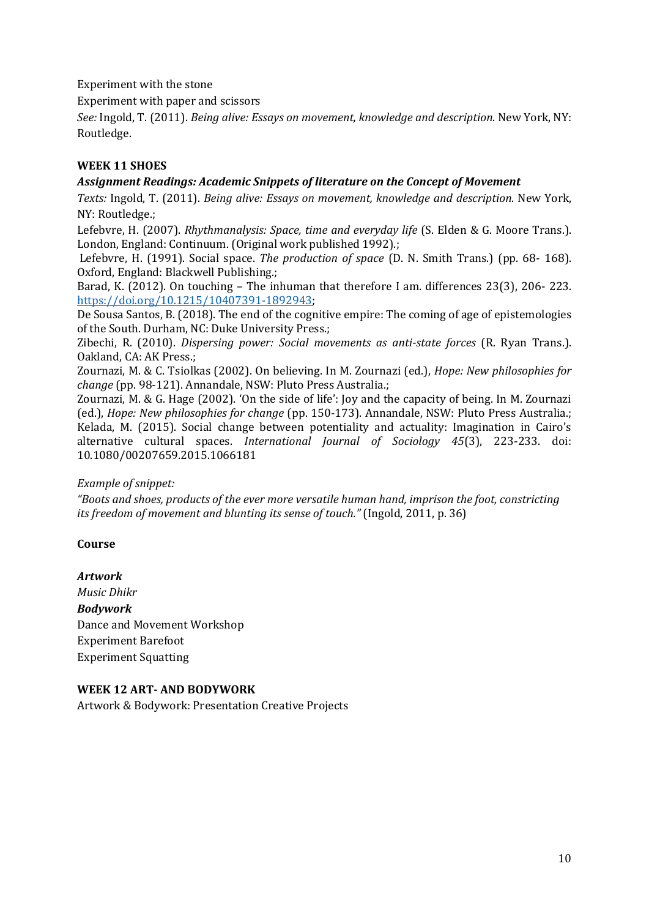Experiment with the stone

Experiment with paper and scissors

*See:* Ingold, T. (2011). *Being alive: Essays on movement, knowledge and description*. New York, NY: Routledge.

## **WEEK 11 SHOES**

#### *Assignment Readings: Academic Snippets of literature on the Concept of Movement*

*Texts:* Ingold, T. (2011). *Being alive: Essays on movement, knowledge and description*. New York, NY: Routledge.;

Lefebvre, H. (2007). *Rhythmanalysis: Space, time and everyday life* (S. Elden & G. Moore Trans.). London, England: Continuum. (Original work published 1992).;

Lefebvre, H. (1991). Social space. *The production of space* (D. N. Smith Trans.) (pp. 68- 168). Oxford, England: Blackwell Publishing.;

Barad, K. (2012). On touching – The inhuman that therefore I am. differences 23(3), 206- 223. [https://doi.org/10.1215/10407391-1892943;](https://doi.org/10.1215/10407391-1892943)

De Sousa Santos, B. (2018). The end of the cognitive empire: The coming of age of epistemologies of the South. Durham, NC: Duke University Press.;

Zibechi, R. (2010). *Dispersing power: Social movements as anti-state forces* (R. Ryan Trans.). Oakland, CA: AK Press.;

Zournazi, M. & C. Tsiolkas (2002). On believing. In M. Zournazi (ed.), *Hope: New philosophies for change* (pp. 98-121). Annandale, NSW: Pluto Press Australia.;

Zournazi, M. & G. Hage (2002). 'On the side of life': Joy and the capacity of being. In M. Zournazi (ed.), *Hope: New philosophies for change* (pp. 150-173). Annandale, NSW: Pluto Press Australia.; Kelada, M. (2015). Social change between potentiality and actuality: Imagination in Cairo's alternative cultural spaces. *International Journal of Sociology 45*(3), 223-233. doi: 10.1080/00207659.2015.1066181

#### *Example of snippet:*

*"Boots and shoes, products of the ever more versatile human hand, imprison the foot, constricting its freedom of movement and blunting its sense of touch."* (Ingold, 2011, p. 36)

## **Course**

*Artwork Music Dhikr Bodywork* Dance and Movement Workshop Experiment Barefoot Experiment Squatting

## **WEEK 12 ART- AND BODYWORK**

Artwork & Bodywork: Presentation Creative Projects